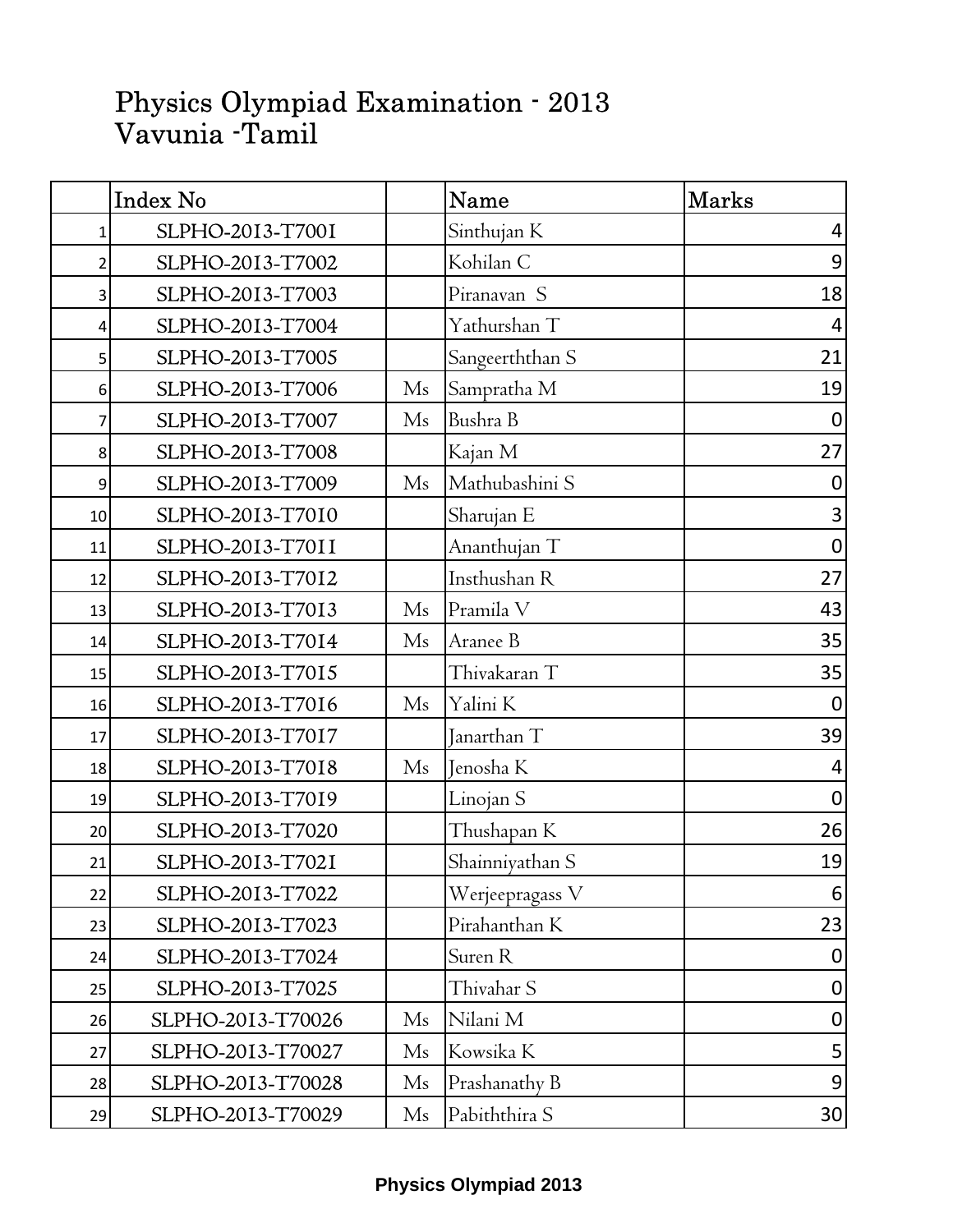## Physics Olympiad Examination - 2013 Vavunia -Tamil

|    | <b>Index No</b>   |                        | Name            | <b>Marks</b>            |
|----|-------------------|------------------------|-----------------|-------------------------|
| 1  | SLPHO-2013-T7001  |                        | Sinthujan K     | 4                       |
| 2  | SLPHO-2013-T7002  |                        | Kohilan C       | $\boldsymbol{9}$        |
| 3  | SLPHO-2013-T7003  |                        | Piranavan S     | 18                      |
| 4  | SLPHO-2013-T7004  |                        | Yathurshan T    | 4                       |
| 5  | SLPHO-2013-T7005  |                        | Sangeerththan S | 21                      |
| 6  | SLPHO-2013-T7006  | M <sub>s</sub>         | Sampratha M     | 19                      |
| 7  | SLPHO-2013-T7007  | M <sub>s</sub>         | Bushra B        | $\boldsymbol{0}$        |
| 8  | SLPHO-2013-T7008  |                        | Kajan M         | 27                      |
| 9  | SLPHO-2013-T7009  | M <sub>s</sub>         | Mathubashini S  | $\boldsymbol{0}$        |
| 10 | SLPHO-2013-T7010  |                        | Sharujan E      | $\overline{\mathbf{3}}$ |
| 11 | SLPHO-2013-T7011  |                        | Ananthujan T    | $\mathbf 0$             |
| 12 | SLPHO-2013-T7012  |                        | Insthushan R    | 27                      |
| 13 | SLPHO-2013-T7013  | M <sub>s</sub>         | Pramila V       | 43                      |
| 14 | SLPHO-2013-T7014  | M <sub>s</sub>         | Aranee B        | 35                      |
| 15 | SLPHO-2013-T7015  |                        | Thivakaran T    | 35                      |
| 16 | SLPHO-2013-T7016  | M <sub>s</sub>         | Yalini K        | $\boldsymbol{0}$        |
| 17 | SLPHO-2013-T7017  |                        | Janarthan T     | 39                      |
| 18 | SLPHO-2013-T7018  | M <sub>s</sub>         | Jenosha K       | 4                       |
| 19 | SLPHO-2013-T7019  |                        | Linojan S       | $\mathbf 0$             |
| 20 | SLPHO-2013-T7020  |                        | Thushapan K     | 26                      |
| 21 | SLPHO-2013-T7021  |                        | Shainniyathan S | 19                      |
| 22 | SLPHO-2013-T7022  |                        | Werjeepragass V | 6                       |
| 23 | SLPHO-2013-T7023  |                        | Pirahanthan K   | 23                      |
| 24 | SLPHO-2013-T7024  |                        | Suren R         | $\boldsymbol{0}$        |
| 25 | SLPHO-2013-T7025  |                        | Thivahar S      | $\boldsymbol{0}$        |
| 26 | SLPHO-2013-T70026 | M <sub>s</sub>         | Nilani M        | $\pmb{0}$               |
| 27 | SLPHO-2013-T70027 | Ms                     | Kowsika K       | 5                       |
| 28 | SLPHO-2013-T70028 | $\rm Ms$               | Prashanathy B   | 9                       |
| 29 | SLPHO-2013-T70029 | $\overline{\text{Ms}}$ | Pabiththira S   | 30                      |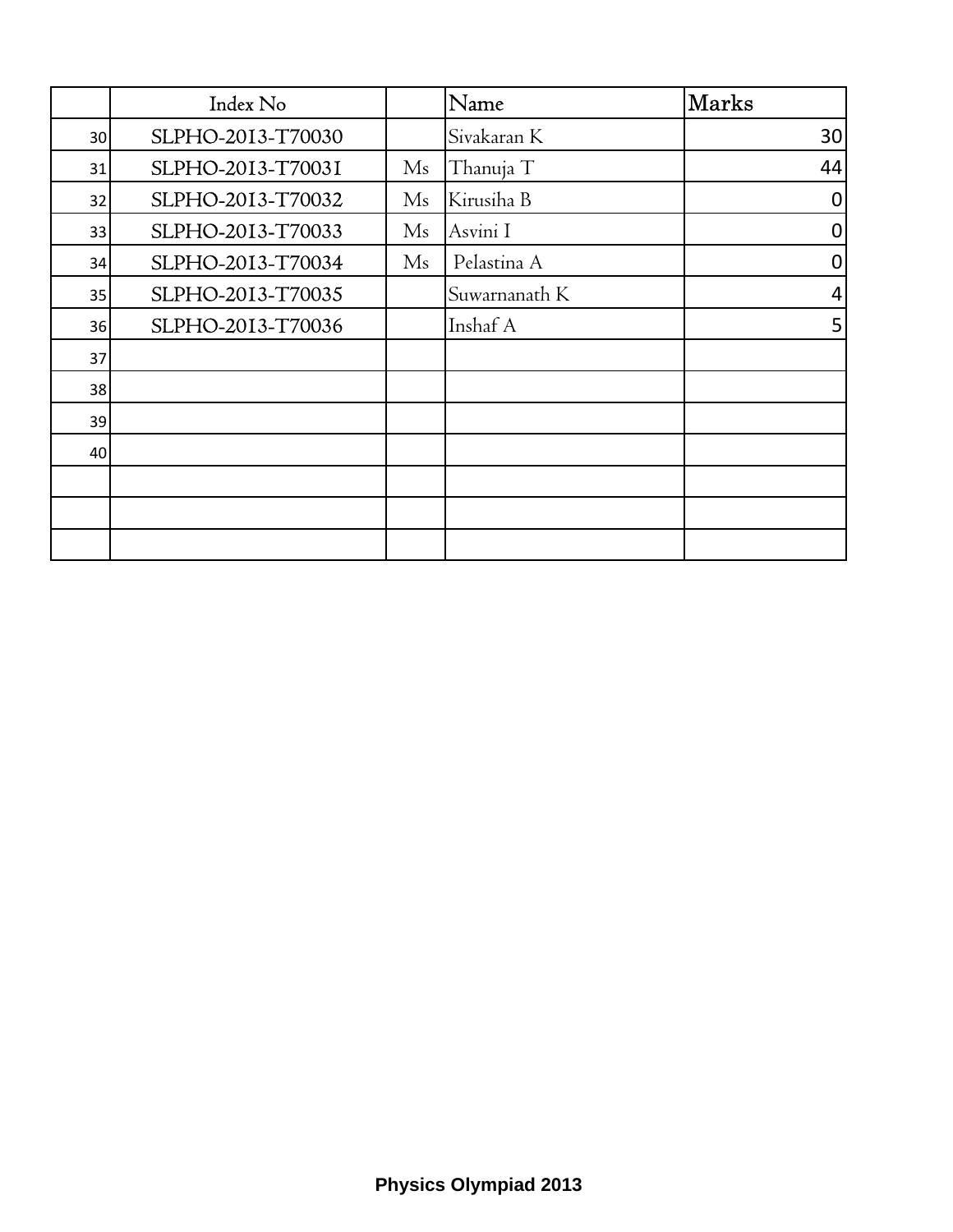|    | Index No          |          | Name          | <b>Marks</b>     |
|----|-------------------|----------|---------------|------------------|
| 30 | SLPHO-2013-T70030 |          | Sivakaran K   | 30               |
| 31 | SLPHO-2013-T70031 | Ms       | Thanuja T     | 44               |
| 32 | SLPHO-2013-T70032 | $\rm Ms$ | Kirusiha B    | 0                |
| 33 | SLPHO-2013-T70033 | $\rm Ms$ | Asvini I      | $\boldsymbol{0}$ |
| 34 | SLPHO-2013-T70034 | Ms       | Pelastina A   | 0                |
| 35 | SLPHO-2013-T70035 |          | Suwarnanath K | 4                |
| 36 | SLPHO-2013-T70036 |          | Inshaf A      | 5                |
| 37 |                   |          |               |                  |
| 38 |                   |          |               |                  |
| 39 |                   |          |               |                  |
| 40 |                   |          |               |                  |
|    |                   |          |               |                  |
|    |                   |          |               |                  |
|    |                   |          |               |                  |